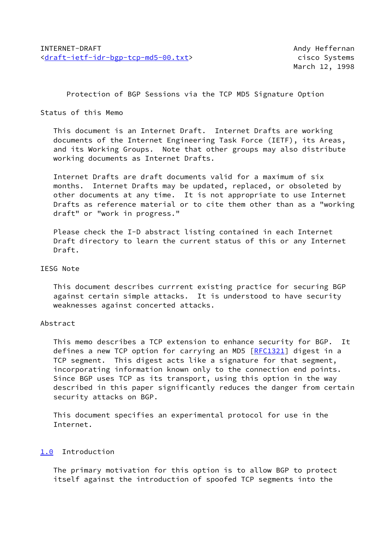Protection of BGP Sessions via the TCP MD5 Signature Option

### Status of this Memo

 This document is an Internet Draft. Internet Drafts are working documents of the Internet Engineering Task Force (IETF), its Areas, and its Working Groups. Note that other groups may also distribute working documents as Internet Drafts.

 Internet Drafts are draft documents valid for a maximum of six months. Internet Drafts may be updated, replaced, or obsoleted by other documents at any time. It is not appropriate to use Internet Drafts as reference material or to cite them other than as a "working draft" or "work in progress."

 Please check the I-D abstract listing contained in each Internet Draft directory to learn the current status of this or any Internet Draft.

### IESG Note

 This document describes currrent existing practice for securing BGP against certain simple attacks. It is understood to have security weaknesses against concerted attacks.

## Abstract

 This memo describes a TCP extension to enhance security for BGP. It defines a new TCP option for carrying an MD5 [\[RFC1321](https://datatracker.ietf.org/doc/pdf/rfc1321)] digest in a TCP segment. This digest acts like a signature for that segment, incorporating information known only to the connection end points. Since BGP uses TCP as its transport, using this option in the way described in this paper significantly reduces the danger from certain security attacks on BGP.

 This document specifies an experimental protocol for use in the Internet.

# <span id="page-0-0"></span>[1.0](#page-0-0) Introduction

 The primary motivation for this option is to allow BGP to protect itself against the introduction of spoofed TCP segments into the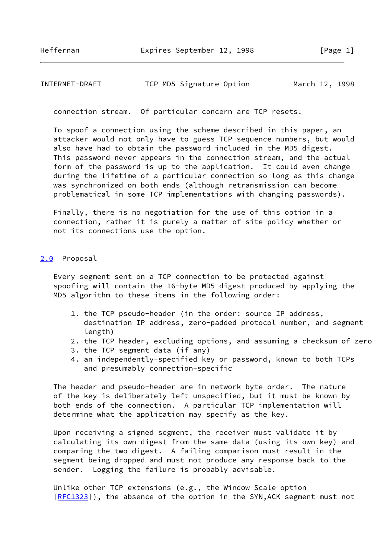## INTERNET-DRAFT TCP MD5 Signature Option March 12, 1998

connection stream. Of particular concern are TCP resets.

 To spoof a connection using the scheme described in this paper, an attacker would not only have to guess TCP sequence numbers, but would also have had to obtain the password included in the MD5 digest. This password never appears in the connection stream, and the actual form of the password is up to the application. It could even change during the lifetime of a particular connection so long as this change was synchronized on both ends (although retransmission can become problematical in some TCP implementations with changing passwords).

 Finally, there is no negotiation for the use of this option in a connection, rather it is purely a matter of site policy whether or not its connections use the option.

#### <span id="page-1-0"></span>[2.0](#page-1-0) Proposal

 Every segment sent on a TCP connection to be protected against spoofing will contain the 16-byte MD5 digest produced by applying the MD5 algorithm to these items in the following order:

- 1. the TCP pseudo-header (in the order: source IP address, destination IP address, zero-padded protocol number, and segment length)
- 2. the TCP header, excluding options, and assuming a checksum of zero
- 3. the TCP segment data (if any)
- 4. an independently-specified key or password, known to both TCPs and presumably connection-specific

 The header and pseudo-header are in network byte order. The nature of the key is deliberately left unspecified, but it must be known by both ends of the connection. A particular TCP implementation will determine what the application may specify as the key.

 Upon receiving a signed segment, the receiver must validate it by calculating its own digest from the same data (using its own key) and comparing the two digest. A failing comparison must result in the segment being dropped and must not produce any response back to the sender. Logging the failure is probably advisable.

 Unlike other TCP extensions (e.g., the Window Scale option [\[RFC1323](https://datatracker.ietf.org/doc/pdf/rfc1323)]), the absence of the option in the SYN, ACK segment must not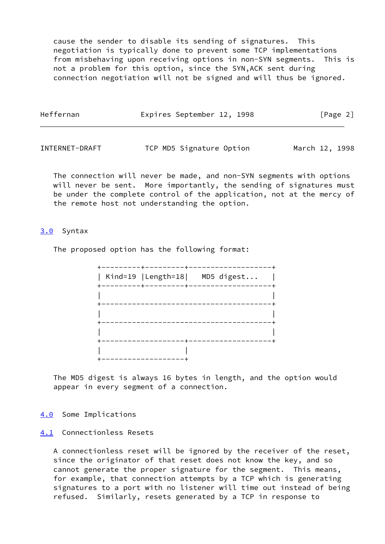cause the sender to disable its sending of signatures. This negotiation is typically done to prevent some TCP implementations from misbehaving upon receiving options in non-SYN segments. This is not a problem for this option, since the SYN,ACK sent during connection negotiation will not be signed and will thus be ignored.

| Heffernan | Expires September 12, 1998 | [Page 2] |
|-----------|----------------------------|----------|
|           |                            |          |

INTERNET-DRAFT TCP MD5 Signature Option March 12, 1998

 The connection will never be made, and non-SYN segments with options will never be sent. More importantly, the sending of signatures must be under the complete control of the application, not at the mercy of the remote host not understanding the option.

## <span id="page-2-0"></span>[3.0](#page-2-0) Syntax

The proposed option has the following format:



 The MD5 digest is always 16 bytes in length, and the option would appear in every segment of a connection.

<span id="page-2-1"></span>[4.0](#page-2-1) Some Implications

#### <span id="page-2-2"></span>[4.1](#page-2-2) Connectionless Resets

 A connectionless reset will be ignored by the receiver of the reset, since the originator of that reset does not know the key, and so cannot generate the proper signature for the segment. This means, for example, that connection attempts by a TCP which is generating signatures to a port with no listener will time out instead of being refused. Similarly, resets generated by a TCP in response to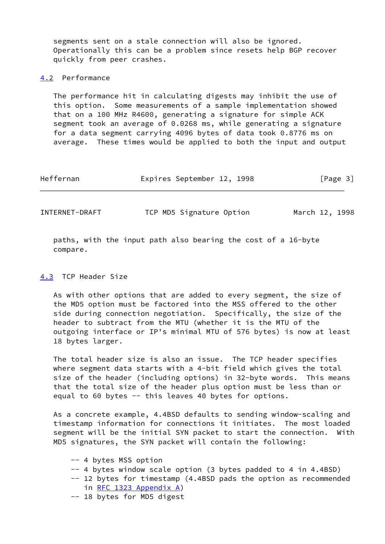segments sent on a stale connection will also be ignored. Operationally this can be a problem since resets help BGP recover quickly from peer crashes.

### <span id="page-3-0"></span>[4.2](#page-3-0) Performance

 The performance hit in calculating digests may inhibit the use of this option. Some measurements of a sample implementation showed that on a 100 MHz R4600, generating a signature for simple ACK segment took an average of 0.0268 ms, while generating a signature for a data segment carrying 4096 bytes of data took 0.8776 ms on average. These times would be applied to both the input and output

| Heffernan | Expires September 12, 1998 |  | [Page 3] |  |
|-----------|----------------------------|--|----------|--|
|           |                            |  |          |  |

INTERNET-DRAFT TCP MD5 Signature Option March 12, 1998

 paths, with the input path also bearing the cost of a 16-byte compare.

### <span id="page-3-1"></span>[4.3](#page-3-1) TCP Header Size

 As with other options that are added to every segment, the size of the MD5 option must be factored into the MSS offered to the other side during connection negotiation. Specifically, the size of the header to subtract from the MTU (whether it is the MTU of the outgoing interface or IP's minimal MTU of 576 bytes) is now at least 18 bytes larger.

 The total header size is also an issue. The TCP header specifies where segment data starts with a 4-bit field which gives the total size of the header (including options) in 32-byte words. This means that the total size of the header plus option must be less than or equal to 60 bytes -- this leaves 40 bytes for options.

 As a concrete example, 4.4BSD defaults to sending window-scaling and timestamp information for connections it initiates. The most loaded segment will be the initial SYN packet to start the connection. With MD5 signatures, the SYN packet will contain the following:

- -- 4 bytes MSS option
- -- 4 bytes window scale option (3 bytes padded to 4 in 4.4BSD)
- -- 12 bytes for timestamp (4.4BSD pads the option as recommended in [RFC 1323 Appendix](https://datatracker.ietf.org/doc/pdf/rfc1323#appendix-A) A)
- -- 18 bytes for MD5 digest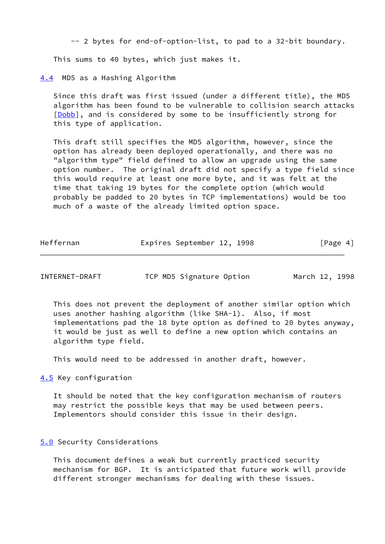-- 2 bytes for end-of-option-list, to pad to a 32-bit boundary.

This sums to 40 bytes, which just makes it.

<span id="page-4-0"></span>[4.4](#page-4-0) MD5 as a Hashing Algorithm

 Since this draft was first issued (under a different title), the MD5 algorithm has been found to be vulnerable to collision search attacks [\[Dobb](#page-5-0)], and is considered by some to be insufficiently strong for this type of application.

 This draft still specifies the MD5 algorithm, however, since the option has already been deployed operationally, and there was no "algorithm type" field defined to allow an upgrade using the same option number. The original draft did not specify a type field since this would require at least one more byte, and it was felt at the time that taking 19 bytes for the complete option (which would probably be padded to 20 bytes in TCP implementations) would be too much of a waste of the already limited option space.

| Heffernan | Expires September 12, 1998 |  | [Page 4] |  |
|-----------|----------------------------|--|----------|--|
|           |                            |  |          |  |

INTERNET-DRAFT TCP MD5 Signature Option March 12, 1998

 This does not prevent the deployment of another similar option which uses another hashing algorithm (like SHA-1). Also, if most implementations pad the 18 byte option as defined to 20 bytes anyway, it would be just as well to define a new option which contains an algorithm type field.

This would need to be addressed in another draft, however.

<span id="page-4-1"></span>[4.5](#page-4-1) Key configuration

 It should be noted that the key configuration mechanism of routers may restrict the possible keys that may be used between peers. Implementors should consider this issue in their design.

### <span id="page-4-2"></span>[5.0](#page-4-2) Security Considerations

 This document defines a weak but currently practiced security mechanism for BGP. It is anticipated that future work will provide different stronger mechanisms for dealing with these issues.